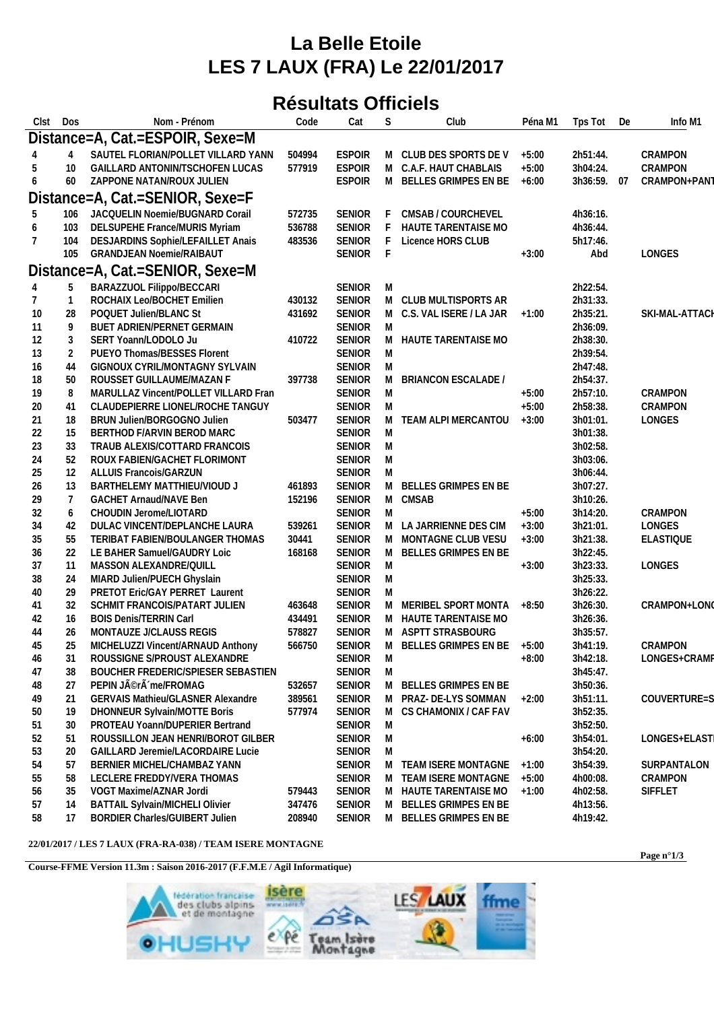## **La Belle Etoile LES 7 LAUX (FRA) Le 22/01/2017**

## **Résultats Officiels**

| Clst           | Dos                             | Nom - Prénom                              | Code   | Cat           | S | Club                       | Péna M1 | Tps Tot     | De | Info M1          |  |
|----------------|---------------------------------|-------------------------------------------|--------|---------------|---|----------------------------|---------|-------------|----|------------------|--|
|                | Distance=A, Cat.=ESPOIR, Sexe=M |                                           |        |               |   |                            |         |             |    |                  |  |
|                | 4                               | SAUTEL FLORIAN/POLLET VILLARD YANN        | 504994 | <b>ESPOIR</b> |   | M CLUB DES SPORTS DE V     | $+5:00$ | 2h51:44.    |    | CRAMPON          |  |
| 5              | 10                              | GAILLARD ANTONIN/TSCHOFEN LUCAS           | 577919 | <b>ESPOIR</b> | M | C.A.F. HAUT CHABLAIS       | $+5:00$ | 3h04:24.    |    | CRAMPON          |  |
| 6              | 60                              | ZAPPONE NATAN/ROUX JULIEN                 |        | <b>ESPOIR</b> | M | BELLES GRIMPES EN BE       | $+6:00$ | 3h36:59. 07 |    | CRAMPON+PAN1     |  |
|                |                                 | Distance=A, Cat.=SENIOR, Sexe=F           |        |               |   |                            |         |             |    |                  |  |
|                |                                 |                                           |        |               |   |                            |         |             |    |                  |  |
| 5              | 106                             | JACQUELIN Noemie/BUGNARD Corail           | 572735 | <b>SENIOR</b> |   | CMSAB / COURCHEVEL         |         | 4h36:16.    |    |                  |  |
| 6              | 103                             | DELSUPEHE France/MURIS Myriam             | 536788 | <b>SENIOR</b> | F | HAUTE TARENTAISE MO        |         | 4h36:44.    |    |                  |  |
| 7              | 104                             | DESJARDINS Sophie/LEFAILLET Anais         | 483536 | <b>SENIOR</b> | F | Licence HORS CLUB          |         | 5h17:46.    |    |                  |  |
|                | 105                             | <b>GRANDJEAN Noemie/RAIBAUT</b>           |        | <b>SENIOR</b> | F |                            | $+3:00$ | Abd         |    | LONGES           |  |
|                |                                 | Distance=A, Cat.=SENIOR, Sexe=M           |        |               |   |                            |         |             |    |                  |  |
| $\overline{4}$ | 5                               | BARAZZUOL Filippo/BECCARI                 |        | <b>SENIOR</b> | M |                            |         | 2h22:54.    |    |                  |  |
| 7              | $\mathbf{1}$                    | ROCHAIX Leo/BOCHET Emilien                | 430132 | <b>SENIOR</b> |   | M CLUB MULTISPORTS AR      |         | 2h31:33.    |    |                  |  |
| 10             | 28                              | POQUET Julien/BLANC St                    | 431692 | <b>SENIOR</b> |   | M C.S. VAL ISERE / LA JAR  | $+1:00$ | 2h35:21.    |    | SKI-MAL-ATTACH   |  |
| 11             | 9                               | BUET ADRIEN/PERNET GERMAIN                |        | <b>SENIOR</b> | M |                            |         | 2h36:09.    |    |                  |  |
| 12             | 3                               | SERT Yoann/LODOLO Ju                      | 410722 | <b>SENIOR</b> | M | HAUTE TARENTAISE MO        |         | 2h38:30.    |    |                  |  |
| 13             | $\overline{2}$                  | PUEYO Thomas/BESSES Florent               |        | <b>SENIOR</b> | M |                            |         | 2h39:54.    |    |                  |  |
| 16             | 44                              | GIGNOUX CYRIL/MONTAGNY SYLVAIN            |        | <b>SENIOR</b> | M |                            |         | 2h47:48.    |    |                  |  |
| 18             | 50                              | ROUSSET GUILLAUME/MAZAN F                 | 397738 | SENIOR        | M | <b>BRIANCON ESCALADE /</b> |         | 2h54:37.    |    |                  |  |
| 19             | 8                               | MARULLAZ Vincent/POLLET VILLARD Fran      |        | <b>SENIOR</b> | M |                            | $+5:00$ | 2h57:10.    |    | CRAMPON          |  |
| 20             | 41                              | CLAUDEPIERRE LIONEL/ROCHE TANGUY          |        | <b>SENIOR</b> | M |                            | $+5:00$ | 2h58:38.    |    | CRAMPON          |  |
| 21             | 18                              | BRUN Julien/BORGOGNO Julien               | 503477 | SENIOR        | M | TEAM ALPI MERCANTOU        | $+3:00$ | 3h01:01.    |    | LONGES           |  |
| 22             | 15                              | BERTHOD F/ARVIN BEROD MARC                |        | <b>SENIOR</b> | M |                            |         | 3h01:38.    |    |                  |  |
| 23             | 33                              | TRAUB ALEXIS/COTTARD FRANCOIS             |        | <b>SENIOR</b> | M |                            |         | 3h02:58.    |    |                  |  |
| 24             | 52                              | ROUX FABIEN/GACHET FLORIMONT              |        | <b>SENIOR</b> | M |                            |         | 3h03:06.    |    |                  |  |
| 25             | 12                              | <b>ALLUIS Francois/GARZUN</b>             |        | <b>SENIOR</b> | M |                            |         | 3h06:44.    |    |                  |  |
| 26             | 13                              | BARTHELEMY MATTHIEU/VIOUD J               | 461893 | <b>SENIOR</b> | M | BELLES GRIMPES EN BE       |         | 3h07:27.    |    |                  |  |
| 29             | 7                               | GACHET Arnaud/NAVE Ben                    | 152196 | <b>SENIOR</b> | M | CMSAB                      |         | 3h10:26.    |    |                  |  |
| 32             | 6                               | CHOUDIN Jerome/LIOTARD                    |        | SENIOR        | M |                            | $+5:00$ | 3h14:20.    |    | CRAMPON          |  |
| 34             | 42                              | DULAC VINCENT/DEPLANCHE LAURA             | 539261 | <b>SENIOR</b> | M | LA JARRIENNE DES CIM       | $+3:00$ | 3h21:01.    |    | LONGES           |  |
| 35             | 55                              | TERIBAT FABIEN/BOULANGER THOMAS           | 30441  | <b>SENIOR</b> | M | MONTAGNE CLUB VESU         | $+3:00$ | 3h21:38.    |    | <b>ELASTIQUE</b> |  |
| 36             | 22                              | LE BAHER Samuel/GAUDRY Loic               | 168168 | <b>SENIOR</b> | M | BELLES GRIMPES EN BE       |         | 3h22:45.    |    |                  |  |
| 37             | 11                              | MASSON ALEXANDRE/QUILL                    |        | <b>SENIOR</b> | M |                            | $+3:00$ | 3h23:33.    |    | LONGES           |  |
| 38             | 24                              | MIARD Julien/PUECH Ghyslain               |        | <b>SENIOR</b> | M |                            |         | 3h25:33.    |    |                  |  |
| 40             | 29                              | PRETOT Eric/GAY PERRET Laurent            |        | SENIOR        | M |                            |         | 3h26:22.    |    |                  |  |
| 41             | 32                              | SCHMIT FRANCOIS/PATART JULIEN             | 463648 | <b>SENIOR</b> | M | MERIBEL SPORT MONTA        | $+8:50$ | 3h26:30.    |    | CRAMPON+LONO     |  |
| 42             | 16                              | <b>BOIS Denis/TERRIN Carl</b>             | 434491 | <b>SENIOR</b> | M | HAUTE TARENTAISE MO        |         | 3h26:36.    |    |                  |  |
| 44             | 26                              | MONTAUZE J/CLAUSS REGIS                   | 578827 | <b>SENIOR</b> | M | ASPTT STRASBOURG           |         | 3h35:57.    |    |                  |  |
| 45             | 25                              | MICHELUZZI Vincent/ARNAUD Anthony         | 566750 | <b>SENIOR</b> | M | BELLES GRIMPES EN BE       | $+5:00$ | 3h41:19.    |    | CRAMPON          |  |
| 46             | 31                              | ROUSSIGNE S/PROUST ALEXANDRE              |        | SENIOR        | M |                            | $+8:00$ | 3h42:18.    |    | LONGES+CRAMP     |  |
| 47             | 38                              | <b>BOUCHER FREDERIC/SPIESER SEBASTIEN</b> |        | SENIOR        | M |                            |         | 3h45:47.    |    |                  |  |
| 48             | 27                              | PEPIN JÃ <sup>©</sup> rà me/FROMAG        | 532657 | SENIOR        | M | BELLES GRIMPES EN BE       |         | 3h50:36.    |    |                  |  |
| 49             | 21                              | <b>GERVAIS Mathieu/GLASNER Alexandre</b>  | 389561 | SENIOR        | M | PRAZ- DE-LYS SOMMAN        | $+2:00$ | 3h51:11.    |    | COUVERTURE=S     |  |
| 50             | 19                              | DHONNEUR Sylvain/MOTTE Boris              | 577974 | SENIOR        | M | CS CHAMONIX / CAF FAV      |         | 3h52:35.    |    |                  |  |
| 51             | 30                              | PROTEAU Yoann/DUPERIER Bertrand           |        | SENIOR        | M |                            |         | 3h52:50.    |    |                  |  |
| 52             | -51                             | ROUSSILLON JEAN HENRI/BOROT GILBER        |        | SENIOR        | M |                            | $+6:00$ | 3h54:01.    |    | LONGES+ELAST     |  |
| 53             | 20                              | GAILLARD Jeremie/LACORDAIRE Lucie         |        | <b>SENIOR</b> | M |                            |         | 3h54:20.    |    |                  |  |
| 54             | 57                              | BERNIER MICHEL/CHAMBAZ YANN               |        | SENIOR        | M | TEAM ISERE MONTAGNE        | $+1:00$ | 3h54:39.    |    | SURPANTALON      |  |
| 55             | 58                              | LECLERE FREDDY/VERA THOMAS                |        | SENIOR        | M | TEAM ISERE MONTAGNE        | $+5:00$ | 4h00:08.    |    | CRAMPON          |  |
| 56             | 35                              | VOGT Maxime/AZNAR Jordi                   | 579443 | SENIOR        | M | HAUTE TARENTAISE MO        | $+1:00$ | 4h02:58.    |    | SIFFLET          |  |
| 57             | 14                              | <b>BATTAIL Sylvain/MICHELI Olivier</b>    | 347476 | SENIOR        | M | BELLES GRIMPES EN BE       |         | 4h13:56.    |    |                  |  |
| 58             | 17                              | BORDIER Charles/GUIBERT Julien            | 208940 | SENIOR        |   | M BELLES GRIMPES EN BE     |         | 4h19:42.    |    |                  |  |

## **22/01/2017 / LES 7 LAUX (FRA-RA-038) / TEAM ISERE MONTAGNE**

**Course-FFME Version 11.3m : Saison 2016-2017 (F.F.M.E / Agil Informatique)**



**Page n°1/3**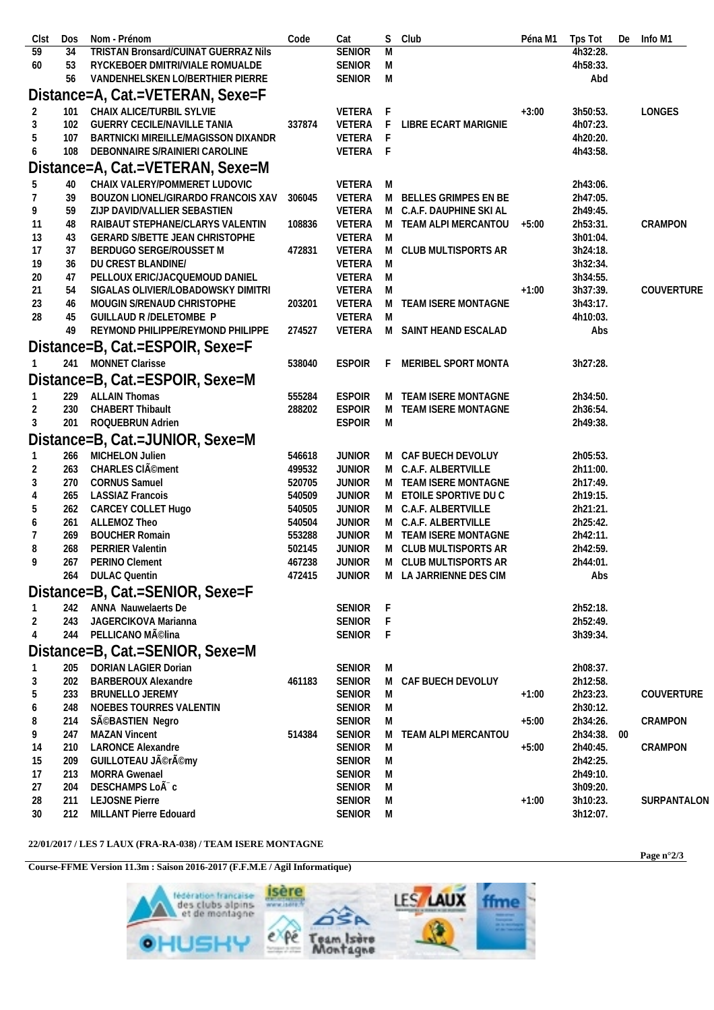| Clst           | Dos        | Nom - Prénom                                       | Code   | Cat              |        | S Club                       | Péna M1 | Tps Tot              | De | Info M1     |
|----------------|------------|----------------------------------------------------|--------|------------------|--------|------------------------------|---------|----------------------|----|-------------|
| 59             | 34         | <b>TRISTAN Bronsard/CUINAT GUERRAZ Nils</b>        |        | <b>SENIOR</b>    | M      |                              |         | 4h32:28.             |    |             |
| 60             | 53         | RYCKEBOER DMITRI/VIALE ROMUALDE                    |        | SENIOR           | M      |                              |         | 4h58:33.             |    |             |
|                | 56         | VANDENHELSKEN LO/BERTHIER PIERRE                   |        | SENIOR M         |        |                              |         | Abd                  |    |             |
|                |            | Distance=A, Cat.=VETERAN, Sexe=F                   |        |                  |        |                              |         |                      |    |             |
| 2              | 101        | CHAIX ALICE/TURBIL SYLVIE                          |        | VETERA F         |        |                              | $+3:00$ | 3h50:53.             |    | LONGES      |
| 3              | 102        | <b>GUERRY CECILE/NAVILLE TANIA</b>                 | 337874 | VETERA F         |        | LIBRE ECART MARIGNIE         |         | 4h07:23.             |    |             |
| 5              | 107        | BARTNICKI MIREILLE/MAGISSON DIXANDR                |        | VETERA F         |        |                              |         | 4h20:20.             |    |             |
| 6              | 108        | DEBONNAIRE S/RAINIERI CAROLINE                     |        | VETERA F         |        |                              |         | 4h43:58.             |    |             |
|                |            | Distance=A, Cat.=VETERAN, Sexe=M                   |        |                  |        |                              |         |                      |    |             |
| 5              | 40         | CHAIX VALERY/POMMERET LUDOVIC                      |        | VETERA M         |        |                              |         | 2h43:06.             |    |             |
| 7              | 39         | BOUZON LIONEL/GIRARDO FRANCOIS XAV                 | 306045 | VETERA           |        | M BELLES GRIMPES EN BE       |         | 2h47:05.             |    |             |
| 9              | 59         | ZIJP DAVID/VALLIER SEBASTIEN                       |        | VETERA           |        | M C.A.F. DAUPHINE SKI AL     |         | 2h49:45.             |    |             |
| 11             | 48         | RAIBAUT STEPHANE/CLARYS VALENTIN                   | 108836 | VETERA           |        | M TEAM ALPI MERCANTOU        | +5:00   | 2h53:31.             |    | CRAMPON     |
| 13             | 43         | GERARD S/BETTE JEAN CHRISTOPHE                     |        | VETERA M         |        |                              |         | 3h01:04.             |    |             |
| 17             | 37         | BERDUGO SERGE/ROUSSET M                            | 472831 | VETERA           |        | M CLUB MULTISPORTS AR        |         | 3h24:18.             |    |             |
| 19             | 36         | DU CREST BLANDINE/                                 |        | VETERA M         |        |                              |         | 3h32:34.             |    |             |
| 20             | 47         | PELLOUX ERIC/JACQUEMOUD DANIEL                     |        | VETERA           | M      |                              |         | 3h34:55.             |    |             |
| 21             | 54         | SIGALAS OLIVIER/LOBADOWSKY DIMITRI                 |        | VETERA           | M      |                              | $+1:00$ | 3h37:39.             |    | COUVERTURE  |
| 23             | 46         | MOUGIN S/RENAUD CHRISTOPHE                         | 203201 | VETERA           |        | M TEAM ISERE MONTAGNE        |         | 3h43:17.             |    |             |
| 28             | 45         | GUILLAUD R /DELETOMBE P                            |        | VETERA M         |        |                              |         | 4h10:03.             |    |             |
|                | 49         | REYMOND PHILIPPE/REYMOND PHILIPPE                  | 274527 |                  |        | VETERA M SAINT HEAND ESCALAD |         | Abs                  |    |             |
|                |            | Distance=B, Cat.=ESPOIR, Sexe=F                    |        |                  |        |                              |         |                      |    |             |
|                |            | 241 MONNET Clarisse                                | 538040 | <b>ESPOIR</b>    | F.     | MERIBEL SPORT MONTA          |         | 3h27:28.             |    |             |
|                |            | Distance=B, Cat.=ESPOIR, Sexe=M                    |        |                  |        |                              |         |                      |    |             |
|                |            | 229 ALLAIN Thomas                                  | 555284 | <b>ESPOIR</b>    |        | M TEAM ISERE MONTAGNE        |         | 2h34:50.             |    |             |
| $\overline{2}$ | 230        | <b>CHABERT Thibault</b>                            | 288202 | <b>ESPOIR</b>    |        | M TEAM ISERE MONTAGNE        |         | 2h36:54.             |    |             |
| 3              | 201        | ROQUEBRUN Adrien                                   |        | <b>ESPOIR</b>    | M      |                              |         | 2h49:38.             |    |             |
|                |            | Distance=B, Cat.=JUNIOR, Sexe=M                    |        |                  |        |                              |         |                      |    |             |
|                | 266        | MICHELON Julien                                    | 546618 | <b>JUNIOR</b>    |        | M CAF BUECH DEVOLUY          |         | 2h05:53.             |    |             |
| 2              | 263        | CHARLES CIÃ <sup>©</sup> ment                      | 499532 | <b>JUNIOR</b>    |        | M C.A.F. ALBERTVILLE         |         | 2h11:00.             |    |             |
| 3              | 270        | <b>CORNUS Samuel</b>                               | 520705 | <b>JUNIOR</b>    |        | M TEAM ISERE MONTAGNE        |         | 2h17:49.             |    |             |
| 4              | 265        | <b>LASSIAZ Francois</b>                            | 540509 | <b>JUNIOR</b>    |        | M ETOILE SPORTIVE DUC        |         | 2h19:15.             |    |             |
| 5              | 262        | CARCEY COLLET Hugo                                 | 540505 | <b>JUNIOR</b>    |        | M C.A.F. ALBERTVILLE         |         | 2h21:21.             |    |             |
| 6              | 261        | ALLEMOZ Theo                                       | 540504 | <b>JUNIOR</b>    |        | M C.A.F. ALBERTVILLE         |         | 2h25:42.             |    |             |
|                | 269        | <b>BOUCHER Romain</b>                              | 553288 | <b>JUNIOR</b>    |        | M TEAM ISERE MONTAGNE        |         | 2h42:11.             |    |             |
| 8              | 268        | PERRIER Valentin                                   | 502145 | JUNIOR           |        | M CLUB MULTISPORTS AR        |         | 2h42:59.             |    |             |
| 9              | 267        | PERINO Clement                                     | 467238 | <b>JUNIOR</b>    |        | M CLUB MULTISPORTS AR        |         | 2h44:01.             |    |             |
|                | 264        | <b>DULAC Quentin</b>                               | 472415 | <b>JUNIOR</b>    |        | M LA JARRIENNE DES CIM       |         | Abs                  |    |             |
|                |            | Distance=B, Cat.=SENIOR, Sexe=F                    |        |                  |        |                              |         |                      |    |             |
|                | 242        | ANNA Nauwelaerts De                                |        | SENIOR F         |        |                              |         | 2h52:18.             |    |             |
| $\overline{2}$ | 243        | JAGERCIKOVA Marianna                               |        | SENIOR           | F      |                              |         | 2h52:49.             |    |             |
| $\overline{4}$ | 244        | PELLICANO MÃ <sup>©</sup> lina                     |        | SENIOR           | -F     |                              |         | 3h39:34.             |    |             |
|                |            | Distance=B, Cat.=SENIOR, Sexe=M                    |        |                  |        |                              |         |                      |    |             |
|                |            |                                                    |        |                  |        |                              |         |                      |    |             |
| 3              | 205<br>202 | DORIAN LAGIER Dorian<br><b>BARBEROUX Alexandre</b> | 461183 | SENIOR<br>SENIOR | M<br>M | CAF BUECH DEVOLUY            |         | 2h08:37.<br>2h12:58. |    |             |
| 5              | 233        | <b>BRUNELLO JEREMY</b>                             |        | SENIOR           | M      |                              | $+1:00$ | 2h23:23.             |    | COUVERTURE  |
| 6              | 248        | NOEBES TOURRES VALENTIN                            |        | SENIOR           | M      |                              |         | 2h30:12.             |    |             |
| 8              | 214        | SéBASTIEN Negro                                    |        | SENIOR           | M      |                              | $+5:00$ | 2h34:26.             |    | CRAMPON     |
| 9              | 247        | <b>MAZAN Vincent</b>                               | 514384 | <b>SENIOR</b>    | M      | TEAM ALPI MERCANTOU          |         | 2h34:38. 00          |    |             |
| 14             | 210        | <b>LARONCE Alexandre</b>                           |        | SENIOR           | M      |                              | $+5:00$ | 2h40:45.             |    | CRAMPON     |
| 15             | 209        | GUILLOTEAU Jérémy                                  |        | SENIOR           | M      |                              |         | 2h42:25.             |    |             |
| 17             | 213        | MORRA Gwenael                                      |        | SENIOR           | M      |                              |         | 2h49:10.             |    |             |
| 27             | 204        | DESCHAMPS LoÃ <sup>-</sup> c                       |        | SENIOR           | M      |                              |         | 3h09:20.             |    |             |
| 28             | 211        | LEJOSNE Pierre                                     |        | SENIOR           | M      |                              | $+1:00$ | 3h10:23.             |    | SURPANTALON |
| 30             | 212        | MILLANT Pierre Edouard                             |        | SENIOR M         |        |                              |         | 3h12:07.             |    |             |
|                |            |                                                    |        |                  |        |                              |         |                      |    |             |

## **22/01/2017 / LES 7 LAUX (FRA-RA-038) / TEAM ISERE MONTAGNE**

**Course-FFME Version 11.3m : Saison 2016-2017 (F.F.M.E / Agil Informatique)**



**Page n°2/3**